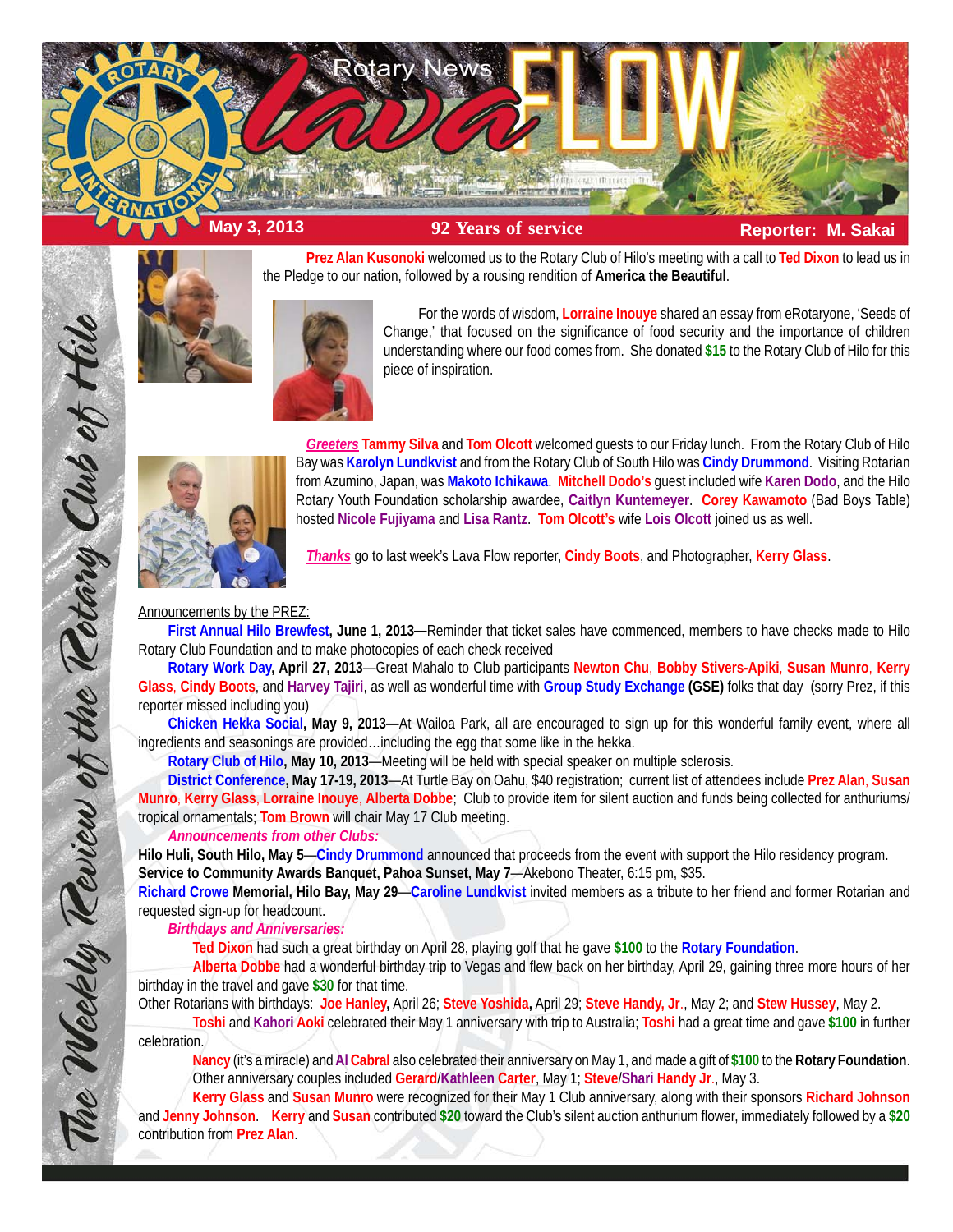

**Prez Alan Kusonoki** welcomed us to the Rotary Club of Hilo's meeting with a call to **Ted Dixon** to lead us in the Pledge to our nation, followed by a rousing rendition of **America the Beautiful**.



For the words of wisdom, **Lorraine Inouye** shared an essay from eRotaryone, 'Seeds of Change,' that focused on the significance of food security and the importance of children understanding where our food comes from. She donated **\$15** to the Rotary Club of Hilo for this piece of inspiration.



*Greeters* **Tammy Silva** and **Tom Olcott** welcomed guests to our Friday lunch. From the Rotary Club of Hilo Bay was **Karolyn Lundkvist** and from the Rotary Club of South Hilo was **Cindy Drummond**. Visiting Rotarian from Azumino, Japan, was **Makoto Ichikawa**. **Mitchell Dodo's** guest included wife **Karen Dodo**, and the Hilo Rotary Youth Foundation scholarship awardee, **Caitlyn Kuntemeyer**. **Corey Kawamoto** (Bad Boys Table) hosted **Nicole Fujiyama** and **Lisa Rantz**. **Tom Olcott's** wife **Lois Olcott** joined us as well.

*Thanks* go to last week's Lava Flow reporter, **Cindy Boots**, and Photographer, **Kerry Glass**.

## Announcements by the PREZ:

**First Annual Hilo Brewfest, June 1, 2013—**Reminder that ticket sales have commenced, members to have checks made to Hilo Rotary Club Foundation and to make photocopies of each check received

**Rotary Work Day, April 27, 2013**—Great Mahalo to Club participants **Newton Chu**, **Bobby Stivers-Apiki**, **Susan Munro**, **Kerry Glass**, **Cindy Boots**, and **Harvey Tajiri**, as well as wonderful time with **Group Study Exchange (GSE)** folks that day (sorry Prez, if this reporter missed including you)

**Chicken Hekka Social, May 9, 2013—**At Wailoa Park, all are encouraged to sign up for this wonderful family event, where all ingredients and seasonings are provided…including the egg that some like in the hekka.

**Rotary Club of Hilo, May 10, 2013**—Meeting will be held with special speaker on multiple sclerosis.

**District Conference, May 17-19, 2013**—At Turtle Bay on Oahu, \$40 registration; current list of attendees include **Prez Alan**, **Susan Munro**, **Kerry Glass**, **Lorraine Inouye**, **Alberta Dobbe**; Club to provide item for silent auction and funds being collected for anthuriums/ tropical ornamentals; **Tom Brown** will chair May 17 Club meeting.

## *Announcements from other Clubs:*

**Hilo Huli, South Hilo, May 5**—**Cindy Drummond** announced that proceeds from the event with support the Hilo residency program. **Service to Community Awards Banquet, Pahoa Sunset, May 7**—Akebono Theater, 6:15 pm, \$35.

**Richard Crowe Memorial, Hilo Bay, May 29**—**Caroline Lundkvist** invited members as a tribute to her friend and former Rotarian and requested sign-up for headcount.

*Birthdays and Anniversaries:*

**Ted Dixon** had such a great birthday on April 28, playing golf that he gave **\$100** to the **Rotary Foundation**.

**Alberta Dobbe** had a wonderful birthday trip to Vegas and flew back on her birthday, April 29, gaining three more hours of her birthday in the travel and gave **\$30** for that time.

Other Rotarians with birthdays: **Joe Hanley,** April 26; **Steve Yoshida,** April 29; **Steve Handy, Jr**., May 2; and **Stew Hussey**, May 2.

**Toshi** and **Kahori Aoki** celebrated their May 1 anniversary with trip to Australia; **Toshi** had a great time and gave **\$100** in further celebration.

**Nancy** (it's a miracle) and**Al Cabral** also celebrated their anniversary on May 1, and made a gift of **\$100** to the **Rotary Foundation**. Other anniversary couples included **Gerard**/**Kathleen Carter**, May 1; **Steve**/**Shari Handy Jr**., May 3.

**Kerry Glass** and **Susan Munro** were recognized for their May 1 Club anniversary, along with their sponsors **Richard Johnson** and **Jenny Johnson**. **Kerry** and **Susan** contributed **\$20** toward the Club's silent auction anthurium flower, immediately followed by a **\$20** contribution from **Prez Alan**.